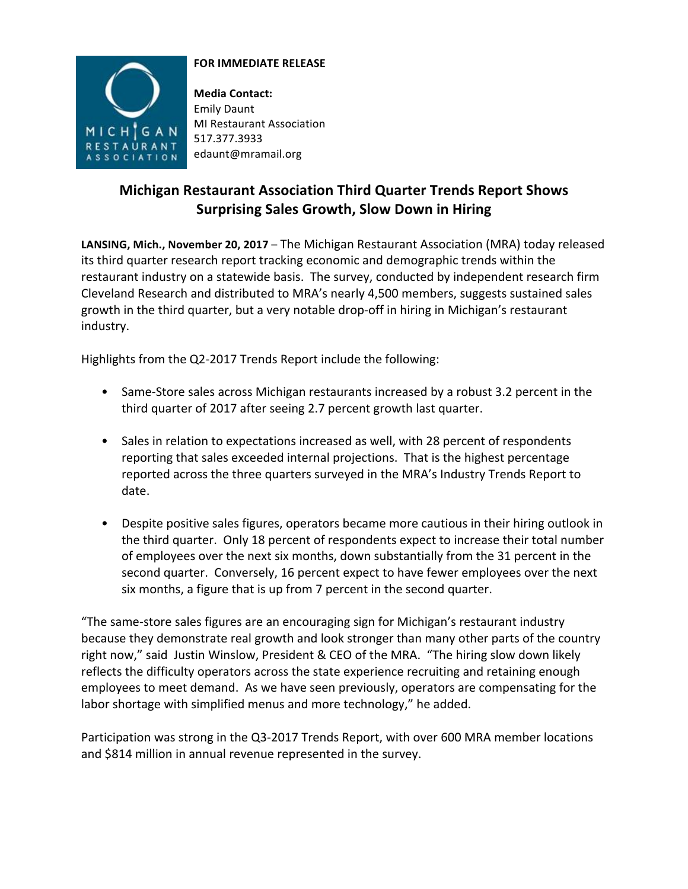

## **FOR IMMEDIATE RELEASE**

**Media Contact:** Emily Daunt **MI** Restaurant Association 517.377.3933 edaunt@mramail.org

## **Michigan Restaurant Association Third Quarter Trends Report Shows Surprising Sales Growth, Slow Down in Hiring**

**LANSING, Mich., November 20, 2017** – The Michigan Restaurant Association (MRA) today released its third quarter research report tracking economic and demographic trends within the restaurant industry on a statewide basis. The survey, conducted by independent research firm Cleveland Research and distributed to MRA's nearly 4,500 members, suggests sustained sales growth in the third quarter, but a very notable drop-off in hiring in Michigan's restaurant industry.

Highlights from the Q2-2017 Trends Report include the following:

- Same-Store sales across Michigan restaurants increased by a robust 3.2 percent in the third quarter of 2017 after seeing 2.7 percent growth last quarter.
- Sales in relation to expectations increased as well, with 28 percent of respondents reporting that sales exceeded internal projections. That is the highest percentage reported across the three quarters surveyed in the MRA's Industry Trends Report to date.
- Despite positive sales figures, operators became more cautious in their hiring outlook in the third quarter. Only 18 percent of respondents expect to increase their total number of employees over the next six months, down substantially from the 31 percent in the second quarter. Conversely, 16 percent expect to have fewer employees over the next six months, a figure that is up from 7 percent in the second quarter.

"The same-store sales figures are an encouraging sign for Michigan's restaurant industry because they demonstrate real growth and look stronger than many other parts of the country right now," said Justin Winslow, President & CEO of the MRA. "The hiring slow down likely reflects the difficulty operators across the state experience recruiting and retaining enough employees to meet demand. As we have seen previously, operators are compensating for the labor shortage with simplified menus and more technology," he added.

Participation was strong in the Q3-2017 Trends Report, with over 600 MRA member locations and \$814 million in annual revenue represented in the survey.